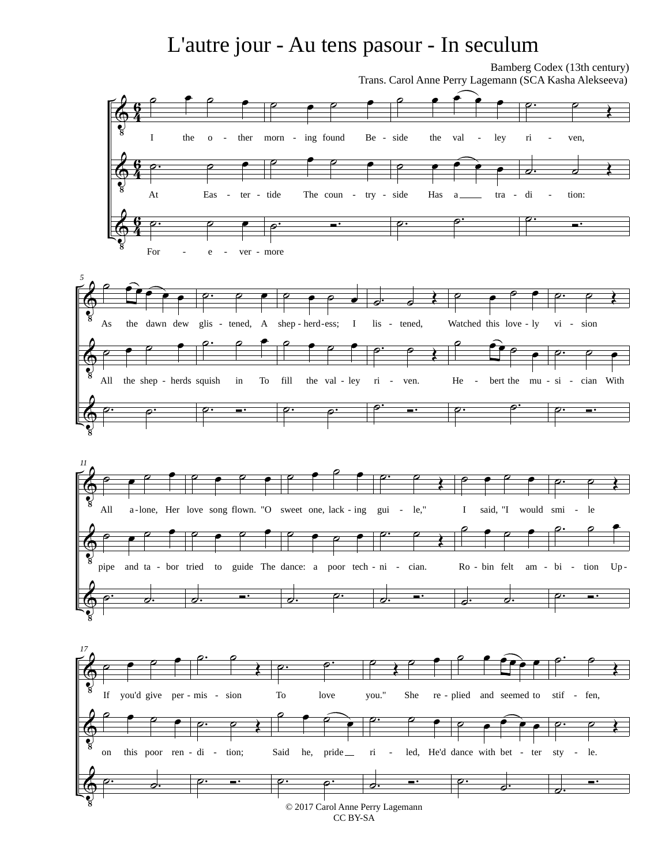## L'autre jour - Au tens pasour - In seculum